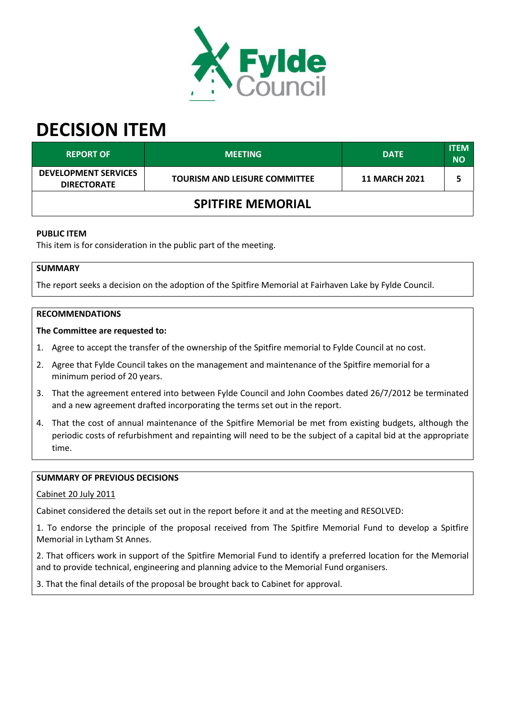

# **DECISION ITEM**

| <b>REPORT OF</b>                                  | <b>MEETING</b>                       | <b>DATE</b>          | <b>ITEM</b><br><b>NO</b> |  |
|---------------------------------------------------|--------------------------------------|----------------------|--------------------------|--|
| <b>DEVELOPMENT SERVICES</b><br><b>DIRECTORATE</b> | <b>TOURISM AND LEISURE COMMITTEE</b> | <b>11 MARCH 2021</b> |                          |  |
| <b>SPITFIRE MEMORIAL</b>                          |                                      |                      |                          |  |

## **PUBLIC ITEM**

This item is for consideration in the public part of the meeting.

## **SUMMARY**

The report seeks a decision on the adoption of the Spitfire Memorial at Fairhaven Lake by Fylde Council.

#### **RECOMMENDATIONS**

#### **The Committee are requested to:**

- 1. Agree to accept the transfer of the ownership of the Spitfire memorial to Fylde Council at no cost.
- 2. Agree that Fylde Council takes on the management and maintenance of the Spitfire memorial for a minimum period of 20 years.
- 3. That the agreement entered into between Fylde Council and John Coombes dated 26/7/2012 be terminated and a new agreement drafted incorporating the terms set out in the report.
- 4. That the cost of annual maintenance of the Spitfire Memorial be met from existing budgets, although the periodic costs of refurbishment and repainting will need to be the subject of a capital bid at the appropriate time.

## **SUMMARY OF PREVIOUS DECISIONS**

Cabinet 20 July 2011

Cabinet considered the details set out in the report before it and at the meeting and RESOLVED:

1. To endorse the principle of the proposal received from The Spitfire Memorial Fund to develop a Spitfire Memorial in Lytham St Annes.

2. That officers work in support of the Spitfire Memorial Fund to identify a preferred location for the Memorial and to provide technical, engineering and planning advice to the Memorial Fund organisers.

3. That the final details of the proposal be brought back to Cabinet for approval.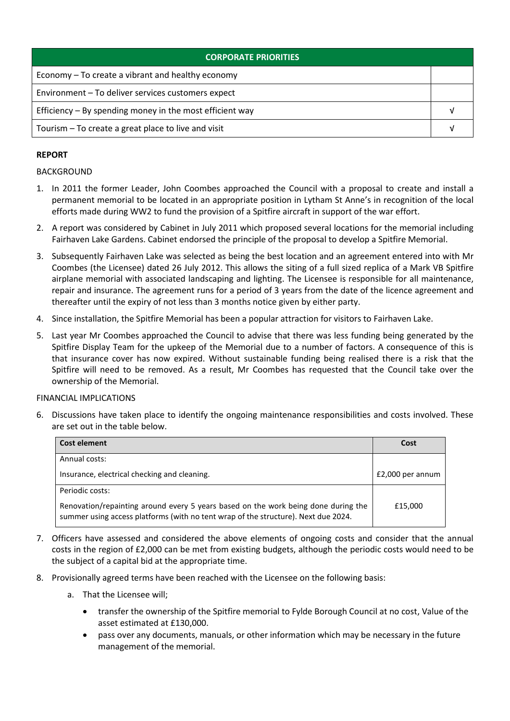| <b>CORPORATE PRIORITIES</b>                                |  |  |
|------------------------------------------------------------|--|--|
| Economy – To create a vibrant and healthy economy          |  |  |
| Environment - To deliver services customers expect         |  |  |
| Efficiency $-$ By spending money in the most efficient way |  |  |
| Tourism - To create a great place to live and visit        |  |  |

# **REPORT**

# BACKGROUND

- 1. In 2011 the former Leader, John Coombes approached the Council with a proposal to create and install a permanent memorial to be located in an appropriate position in Lytham St Anne's in recognition of the local efforts made during WW2 to fund the provision of a Spitfire aircraft in support of the war effort.
- 2. A report was considered by Cabinet in July 2011 which proposed several locations for the memorial including Fairhaven Lake Gardens. Cabinet endorsed the principle of the proposal to develop a Spitfire Memorial.
- 3. Subsequently Fairhaven Lake was selected as being the best location and an agreement entered into with Mr Coombes (the Licensee) dated 26 July 2012. This allows the siting of a full sized replica of a Mark VB Spitfire airplane memorial with associated landscaping and lighting. The Licensee is responsible for all maintenance, repair and insurance. The agreement runs for a period of 3 years from the date of the licence agreement and thereafter until the expiry of not less than 3 months notice given by either party.
- 4. Since installation, the Spitfire Memorial has been a popular attraction for visitors to Fairhaven Lake.
- 5. Last year Mr Coombes approached the Council to advise that there was less funding being generated by the Spitfire Display Team for the upkeep of the Memorial due to a number of factors. A consequence of this is that insurance cover has now expired. Without sustainable funding being realised there is a risk that the Spitfire will need to be removed. As a result, Mr Coombes has requested that the Council take over the ownership of the Memorial.

## FINANCIAL IMPLICATIONS

6. Discussions have taken place to identify the ongoing maintenance responsibilities and costs involved. These are set out in the table below.

| <b>Cost element</b>                                                                                                                                                      | Cost             |
|--------------------------------------------------------------------------------------------------------------------------------------------------------------------------|------------------|
| Annual costs:                                                                                                                                                            |                  |
| Insurance, electrical checking and cleaning.                                                                                                                             | £2,000 per annum |
| Periodic costs:                                                                                                                                                          |                  |
| Renovation/repainting around every 5 years based on the work being done during the<br>summer using access platforms (with no tent wrap of the structure). Next due 2024. | £15,000          |

- 7. Officers have assessed and considered the above elements of ongoing costs and consider that the annual costs in the region of £2,000 can be met from existing budgets, although the periodic costs would need to be the subject of a capital bid at the appropriate time.
- 8. Provisionally agreed terms have been reached with the Licensee on the following basis:
	- a. That the Licensee will;
		- transfer the ownership of the Spitfire memorial to Fylde Borough Council at no cost, Value of the asset estimated at £130,000.
		- pass over any documents, manuals, or other information which may be necessary in the future management of the memorial.